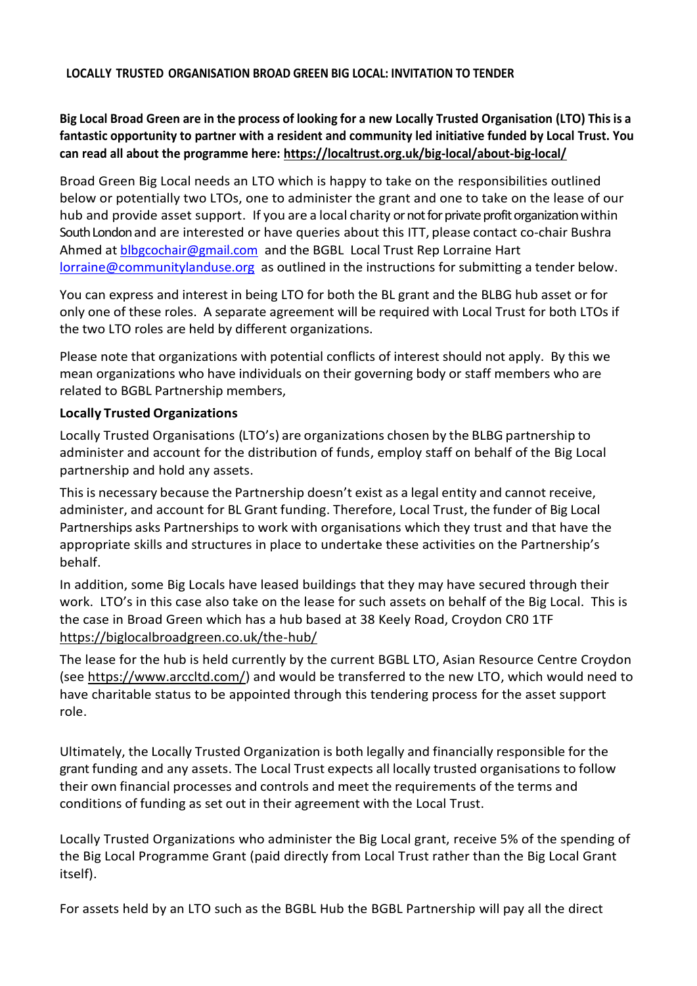#### **LOCALLY TRUSTED ORGANISATION BROAD GREEN BIG LOCAL: INVITATION TO TENDER**

# **Big Local Broad Green are in the process of looking for a new Locally Trusted Organisation (LTO) This is a fantastic opportunity to partner with a resident and community led initiative funded by Local Trust. You can read all about the programme here:<https://localtrust.org.uk/big-local/about-big-local/>**

Broad Green Big Local needs an LTO which is happy to take on the responsibilities outlined below or potentially two LTOs, one to administer the grant and one to take on the lease of our hub and provide asset support. If you are a local charity or not for private profit organization within South Londonand are interested or have queries about this ITT, please contact co-chair Bushra Ahmed at [blbgcochair@gmail.com](mailto:blbgcochair@gmail.com) and the BGBL Local Trust Rep Lorraine Hart [lorraine@communitylanduse.org](mailto:lorraine@communitylanduse.org) as outlined in the instructions for submitting a tender below.

You can express and interest in being LTO for both the BL grant and the BLBG hub asset or for only one of these roles. A separate agreement will be required with Local Trust for both LTOs if the two LTO roles are held by different organizations.

Please note that organizations with potential conflicts of interest should not apply. By this we mean organizations who have individuals on their governing body or staff members who are related to BGBL Partnership members,

### **Locally Trusted Organizations**

Locally Trusted Organisations (LTO's) are organizations chosen by the BLBG partnership to administer and account for the distribution of funds, employ staff on behalf of the Big Local partnership and hold any assets.

This is necessary because the Partnership doesn't exist as a legal entity and cannot receive, administer, and account for BL Grant funding. Therefore, Local Trust, the funder of Big Local Partnerships asks Partnerships to work with organisations which they trust and that have the appropriate skills and structures in place to undertake these activities on the Partnership's behalf.

In addition, some Big Locals have leased buildings that they may have secured through their work. LTO's in this case also take on the lease for such assets on behalf of the Big Local. This is the case in Broad Green which has a hub based at 38 Keely Road, Croydon CR0 1TF <https://biglocalbroadgreen.co.uk/the-hub/>

The lease for the hub is held currently by the current BGBL LTO, Asian Resource Centre Croydon (see [https://www.arccltd.com/\)](https://www.arccltd.com/) and would be transferred to the new LTO, which would need to have charitable status to be appointed through this tendering process for the asset support role.

Ultimately, the Locally Trusted Organization is both legally and financially responsible for the grant funding and any assets. The Local Trust expects all locally trusted organisations to follow their own financial processes and controls and meet the requirements of the terms and conditions of funding as set out in their agreement with the Local Trust.

Locally Trusted Organizations who administer the Big Local grant, receive 5% of the spending of the Big Local Programme Grant (paid directly from Local Trust rather than the Big Local Grant itself).

For assets held by an LTO such as the BGBL Hub the BGBL Partnership will pay all the direct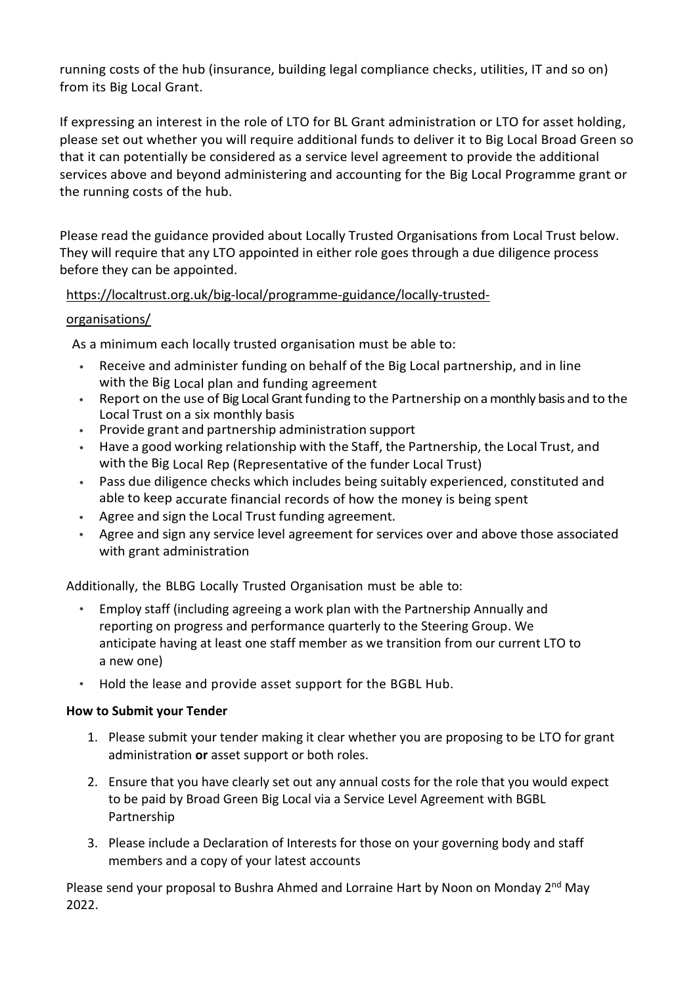running costs of the hub (insurance, building legal compliance checks, utilities, IT and so on) from its Big Local Grant.

If expressing an interest in the role of LTO for BL Grant administration or LTO for asset holding, please set out whether you will require additional funds to deliver it to Big Local Broad Green so that it can potentially be considered as a service level agreement to provide the additional services above and beyond administering and accounting for the Big Local Programme grant or the running costs of the hub.

Please read the guidance provided about Locally Trusted Organisations from Local Trust below. They will require that any LTO appointed in either role goes through a due diligence process before they can be appointed.

## [https://localtrust.org.uk/big-local/programme-guidance/locally-trusted-](https://localtrust.org.uk/big-local/programme-guidance/locally-trusted-organisations/)

### [organisations/](https://localtrust.org.uk/big-local/programme-guidance/locally-trusted-organisations/)

As a minimum each locally trusted organisation must be able to:

- Receive and administer funding on behalf of the Big Local partnership, and in line with the Big Local plan and funding agreement
- Report on the use of Big Local Grant funding to the Partnership on a monthly basis and to the Local Trust on a six monthly basis
- Provide grant and partnership administration support
- Have a good working relationship with the Staff, the Partnership, the Local Trust, and with the Big Local Rep (Representative of the funder Local Trust)
- Pass due diligence checks which includes being suitably experienced, constituted and able to keep accurate financial records of how the money is being spent
- Agree and sign the Local Trust funding agreement.
- Agree and sign any service level agreement for services over and above those associated with grant administration

Additionally, the BLBG Locally Trusted Organisation must be able to:

- Employ staff (including agreeing a work plan with the Partnership Annually and reporting on progress and performance quarterly to the Steering Group. We anticipate having at least one staff member as we transition from our current LTO to a new one)
- Hold the lease and provide asset support for the BGBL Hub.

### **How to Submit your Tender**

- 1. Please submit your tender making it clear whether you are proposing to be LTO for grant administration **or** asset support or both roles.
- 2. Ensure that you have clearly set out any annual costs for the role that you would expect to be paid by Broad Green Big Local via a Service Level Agreement with BGBL Partnership
- 3. Please include a Declaration of Interests for those on your governing body and staff members and a copy of your latest accounts

Please send your proposal to Bushra Ahmed and Lorraine Hart by Noon on Monday  $2^{nd}$  May 2022.